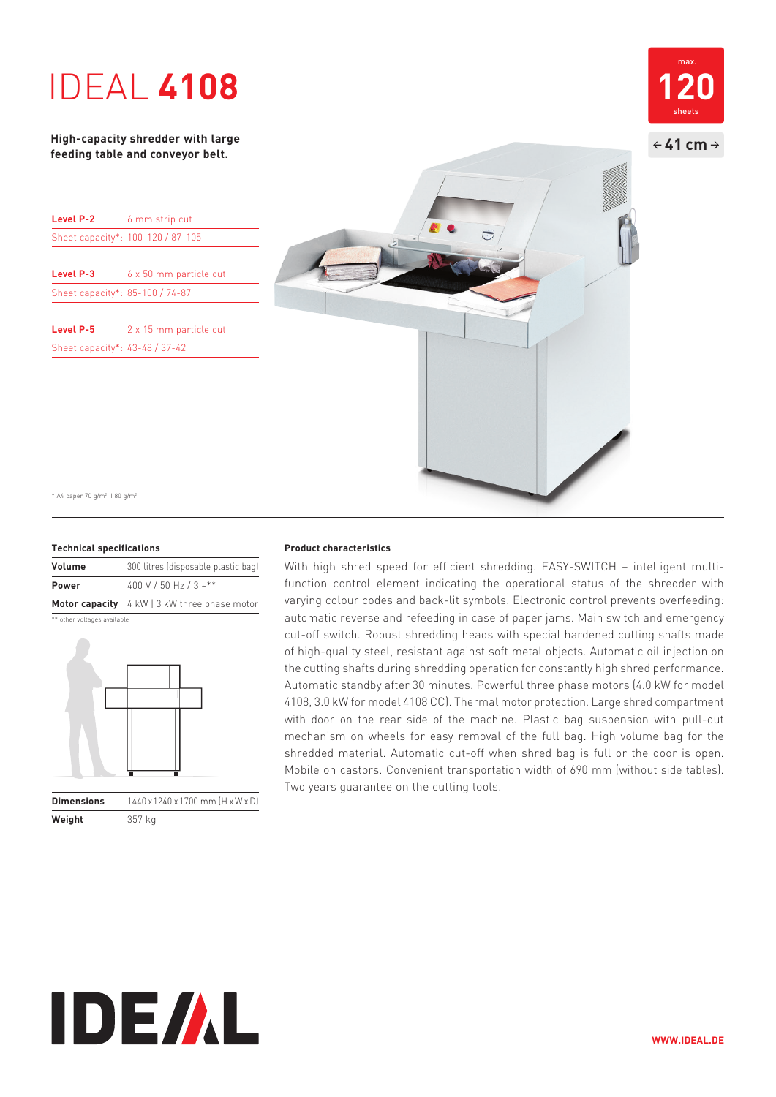# IDEAL **4108**

**High-capacity shredder with large feeding table and conveyor belt.**

| Level P-2                      | 6 mm strip cut                    |
|--------------------------------|-----------------------------------|
|                                | Sheet capacity*: 100-120 / 87-105 |
|                                |                                   |
| Level P-3                      | 6 x 50 mm particle cut            |
|                                | Sheet capacity*: 85-100 / 74-87   |
|                                |                                   |
| Level P-5                      | 2 x 15 mm particle cut            |
| Sheet capacity*: 43-48 / 37-42 |                                   |





\* A4 paper 70 g/m2 I 80 g/m2

### **Technical specifications**

| Volume       | 300 litres (disposable plastic bag)          |
|--------------|----------------------------------------------|
| <b>Power</b> | 400 V / 50 Hz / 3 ~**                        |
|              | Motor capacity 4 kW   3 kW three phase motor |

\*\* other voltages available

**Weight** 357 kg



### **Product characteristics**

With high shred speed for efficient shredding. EASY-SWITCH – intelligent multifunction control element indicating the operational status of the shredder with varying colour codes and back-lit symbols. Electronic control prevents overfeeding: automatic reverse and refeeding in case of paper jams. Main switch and emergency cut-off switch. Robust shredding heads with special hardened cutting shafts made of high-quality steel, resistant against soft metal objects. Automatic oil injection on the cutting shafts during shredding operation for constantly high shred performance. Automatic standby after 30 minutes. Powerful three phase motors (4.0 kW for model 4108, 3.0 kW for model 4108 CC). Thermal motor protection. Large shred compartment with door on the rear side of the machine. Plastic bag suspension with pull-out mechanism on wheels for easy removal of the full bag. High volume bag for the shredded material. Automatic cut-off when shred bag is full or the door is open. Mobile on castors. Convenient transportation width of 690 mm (without side tables). Two years guarantee on the cutting tools.